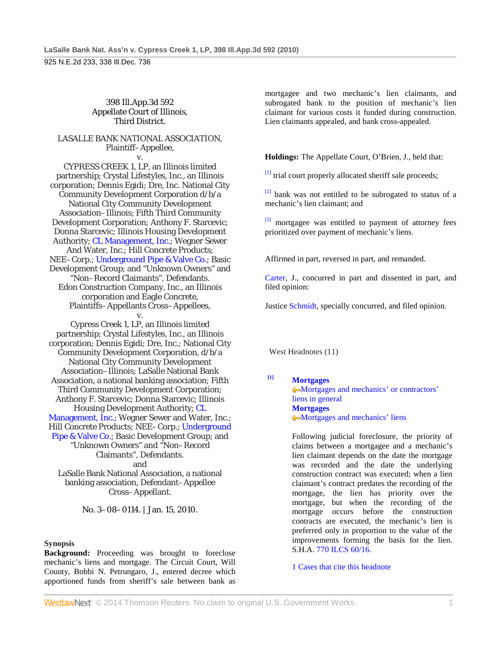#### 398 Ill.App.3d 592 Appellate Court of Illinois, Third District.

## LASALLE BANK NATIONAL ASSOCIATION, Plaintiff–Appellee,

v. CYPRESS CREEK 1, LP, an Illinois limited partnership; Crystal Lifestyles, Inc., an Illinois corporation; Dennis Egidi; Dre, Inc. National City Community Development Corporation d/b/a National City Community Development Association–Illinois; Fifth Third Community Development Corporation; Anthony F. Starcevic; Donna Starcevic; Illinois Housing Development Authority; CL Management, Inc.; Wegner Sewer And Water, Inc.; Hill Concrete Products; NEE–Corp.; Underground Pipe & Valve Co.; Basic Development Group; and "Unknown Owners" and "Non–Record Claimants", Defendants. Edon Construction Company, Inc., an Illinois corporation and Eagle Concrete, Plaintiffs–Appellants Cross–Appellees, v.

Cypress Creek 1, LP, an Illinois limited partnership; Crystal Lifestyles, Inc., an Illinois corporation; Dennis Egidi; Dre, Inc.; National City Community Development Corporation, d/b/a National City Community Development Association–Illinois; LaSalle National Bank Association, a national banking association; Fifth Third Community Development Corporation; Anthony F. Starcevic; Donna Starcevic; Illinois Housing Development Authority; CL Management, Inc.; Wegner Sewer and Water, Inc.; Hill Concrete Products; NEE–Corp.; Underground Pipe & Valve Co.; Basic Development Group; and "Unknown Owners" and "Non–Record Claimants", Defendants. and LaSalle Bank National Association, a national banking association, Defendant–Appellee

Cross–Appellant.

No. 3–08–0114. | Jan. 15, 2010.

### **Synopsis**

**Background:** Proceeding was brought to foreclose mechanic's liens and mortgage. The Circuit Court, Will County, Bobbi N. Petrungaro, J., entered decree which apportioned funds from sheriff's sale between bank as

mortgagee and two mechanic's lien claimants, and subrogated bank to the position of mechanic's lien claimant for various costs it funded during construction. Lien claimants appealed, and bank cross-appealed.

**Holdings:** The Appellate Court, O'Brien, J., held that:

 $^{[1]}$  trial court properly allocated sheriff sale proceeds;

[2] bank was not entitled to be subrogated to status of a mechanic's lien claimant; and

 $\left[3\right]$  mortgagee was entitled to payment of attorney fees prioritized over payment of mechanic's liens.

Affirmed in part, reversed in part, and remanded.

Carter, J., concurred in part and dissented in part, and filed opinion:

Justice Schmidt, specially concurred, and filed opinion.

West Headnotes (11)

**[1] Mortgages** Mortgages and mechanics' or contractors' liens in general **Mortgages** Mortgages and mechanics' liens

> Following judicial foreclosure, the priority of claims between a mortgagee and a mechanic's lien claimant depends on the date the mortgage was recorded and the date the underlying construction contract was executed; when a lien claimant's contract predates the recording of the mortgage, the lien has priority over the mortgage, but when the recording of the mortgage occurs before the construction contracts are executed, the mechanic's lien is preferred only in proportion to the value of the improvements forming the basis for the lien. S.H.A. 770 ILCS 60/16.

1 Cases that cite this headnote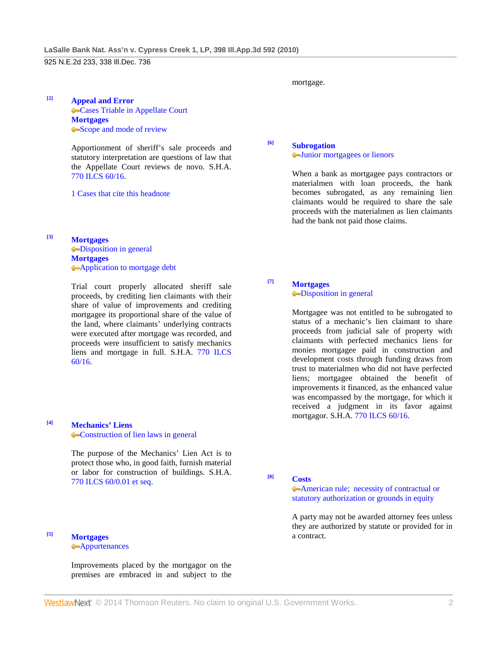## **[2] Appeal and Error Cases Triable in Appellate Court Mortgages** Scope and mode of review

Apportionment of sheriff's sale proceeds and statutory interpretation are questions of law that the Appellate Court reviews de novo. S.H.A. 770 ILCS 60/16.

1 Cases that cite this headnote

**[3] Mortgages -Disposition in general Mortgages Application to mortgage debt** 

> Trial court properly allocated sheriff sale proceeds, by crediting lien claimants with their share of value of improvements and crediting mortgagee its proportional share of the value of the land, where claimants' underlying contracts were executed after mortgage was recorded, and proceeds were insufficient to satisfy mechanics liens and mortgage in full. S.H.A. 770 ILCS 60/16.

## **[4] Mechanics' Liens Construction of lien laws in general**

The purpose of the Mechanics' Lien Act is to protect those who, in good faith, furnish material or labor for construction of buildings. S.H.A. 770 ILCS 60/0.01 et seq.

# **[5] Mortgages**

**Appurtenances** 

Improvements placed by the mortgagor on the premises are embraced in and subject to the mortgage.

# **[6] Subrogation**

#### Junior mortgagees or lienors

When a bank as mortgagee pays contractors or materialmen with loan proceeds, the bank becomes subrogated, as any remaining lien claimants would be required to share the sale proceeds with the materialmen as lien claimants had the bank not paid those claims.

### **[7] Mortgages Disposition in general**

Mortgagee was not entitled to be subrogated to status of a mechanic's lien claimant to share proceeds from judicial sale of property with claimants with perfected mechanics liens for monies mortgagee paid in construction and development costs through funding draws from trust to materialmen who did not have perfected liens; mortgagee obtained the benefit of improvements it financed, as the enhanced value was encompassed by the mortgage, for which it received a judgment in its favor against mortgagor. S.H.A. 770 ILCS 60/16.

**[8] Costs**

American rule; necessity of contractual or statutory authorization or grounds in equity

A party may not be awarded attorney fees unless they are authorized by statute or provided for in a contract.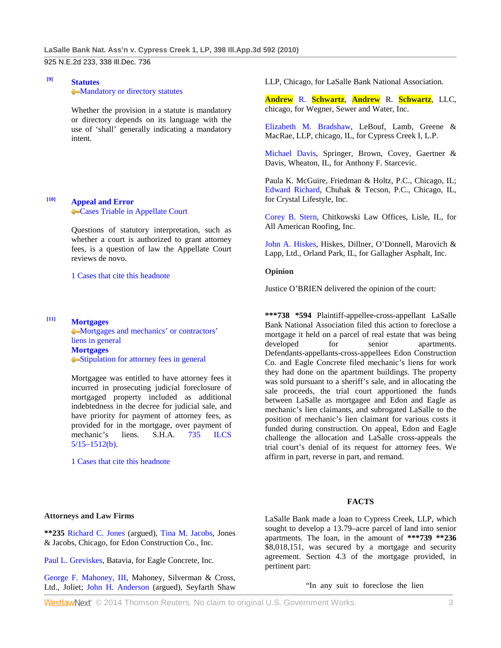## **[9] Statutes Mandatory or directory statutes**

Whether the provision in a statute is mandatory or directory depends on its language with the use of 'shall' generally indicating a mandatory intent.

## **[10] Appeal and Error Cases Triable in Appellate Court**

Questions of statutory interpretation, such as whether a court is authorized to grant attorney fees, is a question of law the Appellate Court reviews de novo.

1 Cases that cite this headnote

## **[11] Mortgages**

Mortgages and mechanics' or contractors' liens in general **Mortgages** Stipulation for attorney fees in general

Mortgagee was entitled to have attorney fees it incurred in prosecuting judicial foreclosure of mortgaged property included as additional indebtedness in the decree for judicial sale, and have priority for payment of attorney fees, as provided for in the mortgage, over payment of mechanic's liens. S.H.A. 735 ILCS  $5/15 - 1512(b)$ .

1 Cases that cite this headnote

LLP, Chicago, for LaSalle Bank National Association.

**Andrew** R. **Schwartz**, **Andrew** R. **Schwartz**, LLC, chicago, for Wegner, Sewer and Water, Inc.

Elizabeth M. Bradshaw, LeBouf, Lamb, Greene & MacRae, LLP, chicago, IL, for Cypress Creek I, L.P.

Michael Davis, Springer, Brown, Covey, Gaertner & Davis, Wheaton, IL, for Anthony F. Starcevic.

Paula K. McGuire, Friedman & Holtz, P.C., Chicago, IL; Edward Richard, Chuhak & Tecson, P.C., Chicago, IL, for Crystal Lifestyle, Inc.

Corey B. Stern, Chitkowski Law Offices, Lisle, IL, for All American Roofing, Inc.

John A. Hiskes, Hiskes, Dillner, O'Donnell, Marovich & Lapp, Ltd., Orland Park, IL, for Gallagher Asphalt, Inc.

#### **Opinion**

Justice O'BRIEN delivered the opinion of the court:

**\*\*\*738 \*594** Plaintiff-appellee-cross-appellant LaSalle Bank National Association filed this action to foreclose a mortgage it held on a parcel of real estate that was being developed for senior apartments. Defendants-appellants-cross-appellees Edon Construction Co. and Eagle Concrete filed mechanic's liens for work they had done on the apartment buildings. The property was sold pursuant to a sheriff's sale, and in allocating the sale proceeds, the trial court apportioned the funds between LaSalle as mortgagee and Edon and Eagle as mechanic's lien claimants, and subrogated LaSalle to the position of mechanic's lien claimant for various costs it funded during construction. On appeal, Edon and Eagle challenge the allocation and LaSalle cross-appeals the trial court's denial of its request for attorney fees. We affirm in part, reverse in part, and remand.

## **FACTS**

#### **Attorneys and Law Firms**

**\*\*235** Richard C. Jones (argued), Tina M. Jacobs, Jones & Jacobs, Chicago, for Edon Construction Co., Inc.

Paul L. Greviskes, Batavia, for Eagle Concrete, Inc.

George F. Mahoney, III, Mahoney, Silverman & Cross, Ltd., Joliet; John H. Anderson (argued), Seyfarth Shaw LaSalle Bank made a loan to Cypress Creek, LLP, which sought to develop a 13.79–acre parcel of land into senior apartments. The loan, in the amount of **\*\*\*739 \*\*236** \$8,018,151, was secured by a mortgage and security agreement. Section 4.3 of the mortgage provided, in pertinent part:

"In any suit to foreclose the lien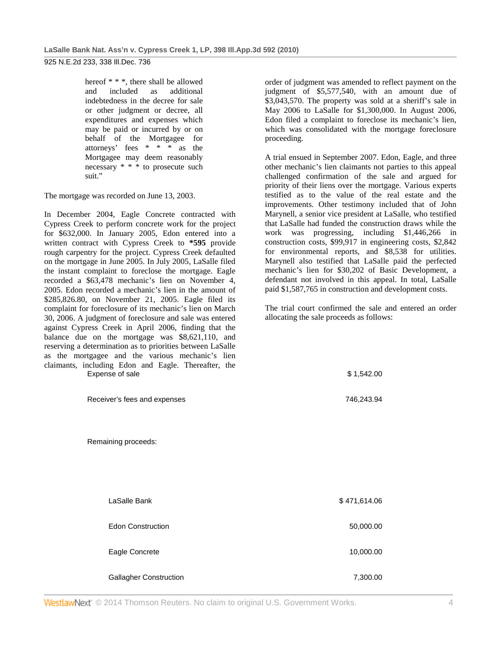hereof \* \* \*, there shall be allowed and included as additional indebtedness in the decree for sale or other judgment or decree, all expenditures and expenses which may be paid or incurred by or on behalf of the Mortgagee for attorneys' fees \* \* \* as the Mortgagee may deem reasonably necessary \* \* \* to prosecute such suit."

The mortgage was recorded on June 13, 2003.

In December 2004, Eagle Concrete contracted with Cypress Creek to perform concrete work for the project for \$632,000. In January 2005, Edon entered into a written contract with Cypress Creek to **\*595** provide rough carpentry for the project. Cypress Creek defaulted on the mortgage in June 2005. In July 2005, LaSalle filed the instant complaint to foreclose the mortgage. Eagle recorded a \$63,478 mechanic's lien on November 4, 2005. Edon recorded a mechanic's lien in the amount of \$285,826.80, on November 21, 2005. Eagle filed its complaint for foreclosure of its mechanic's lien on March 30, 2006. A judgment of foreclosure and sale was entered against Cypress Creek in April 2006, finding that the balance due on the mortgage was \$8,621,110, and reserving a determination as to priorities between LaSalle as the mortgagee and the various mechanic's lien claimants, including Edon and Eagle. Thereafter, the Expense of sale \$ 1,542.00

order of judgment was amended to reflect payment on the judgment of \$5,577,540, with an amount due of \$3,043,570. The property was sold at a sheriff's sale in May 2006 to LaSalle for \$1,300,000. In August 2006, Edon filed a complaint to foreclose its mechanic's lien, which was consolidated with the mortgage foreclosure proceeding.

A trial ensued in September 2007. Edon, Eagle, and three other mechanic's lien claimants not parties to this appeal challenged confirmation of the sale and argued for priority of their liens over the mortgage. Various experts testified as to the value of the real estate and the improvements. Other testimony included that of John Marynell, a senior vice president at LaSalle, who testified that LaSalle had funded the construction draws while the work was progressing, including \$1,446,266 in construction costs, \$99,917 in engineering costs, \$2,842 for environmental reports, and \$8,538 for utilities. Marynell also testified that LaSalle paid the perfected mechanic's lien for \$30,202 of Basic Development, a defendant not involved in this appeal. In total, LaSalle paid \$1,587,765 in construction and development costs.

The trial court confirmed the sale and entered an order allocating the sale proceeds as follows:

| Receiver's fees and expenses  | 746,243.94   |
|-------------------------------|--------------|
| Remaining proceeds:           |              |
| LaSalle Bank                  | \$471,614.06 |
| <b>Edon Construction</b>      | 50,000.00    |
| Eagle Concrete                | 10,000.00    |
| <b>Gallagher Construction</b> | 7,300.00     |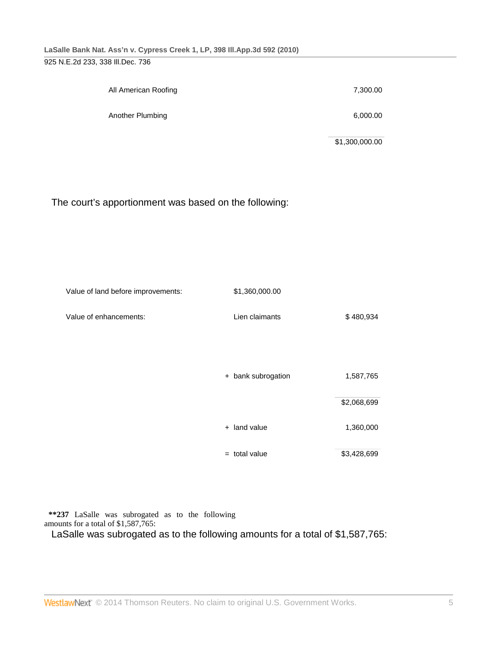| All American Roofing | 7,300.00 |
|----------------------|----------|
| Another Plumbing     | 6,000.00 |

\$1,300,000.00

## The court's apportionment was based on the following:

| Value of land before improvements: | \$1,360,000.00     |             |
|------------------------------------|--------------------|-------------|
| Value of enhancements:             | Lien claimants     | \$480,934   |
|                                    |                    |             |
|                                    |                    |             |
|                                    | + bank subrogation | 1,587,765   |
|                                    |                    | \$2,068,699 |
|                                    | + land value       | 1,360,000   |
|                                    | $=$ total value    | \$3,428,699 |

**\*\*237** LaSalle was subrogated as to the following amounts for a total of \$1,587,765:

LaSalle was subrogated as to the following amounts for a total of \$1,587,765: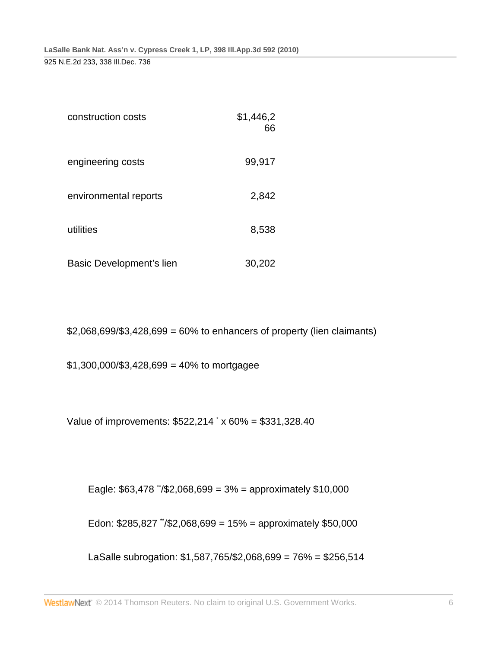| construction costs       | \$1,446,2<br>66 |
|--------------------------|-----------------|
| engineering costs        | 99,917          |
| environmental reports    | 2,842           |
| utilities                | 8,538           |
| Basic Development's lien | 30,202          |

 $$2,068,699$ /\$3,428,699 = 60% to enhancers of property (lien claimants)

 $$1,300,000$ /\$3,428,699 = 40% to mortgagee

Value of improvements: \$522,214 \* x 60% = \$331,328.40

Eagle:  $$63,478$   $\sqrt{2}$ ,068,699 = 3% = approximately \$10,000

Edon:  $$285,827$   $\sqrt{2}$ ,068,699 = 15% = approximately \$50,000

LaSalle subrogation: \$1,587,765/\$2,068,699 = 76% = \$256,514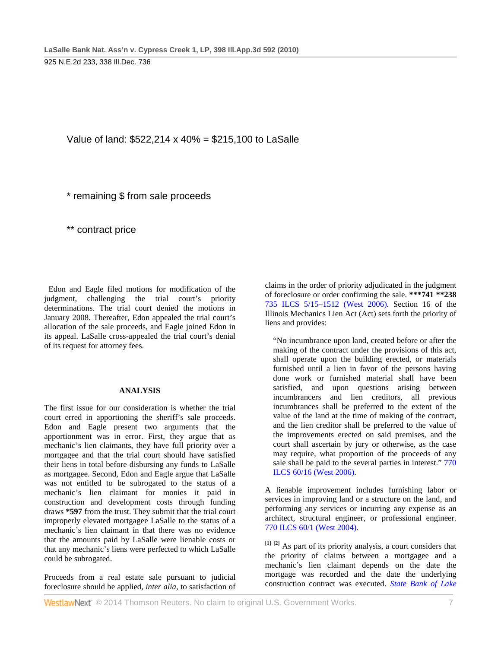Value of land: \$522,214 x 40% = \$215,100 to LaSalle

\* remaining \$ from sale proceeds

\*\* contract price

Edon and Eagle filed motions for modification of the judgment, challenging the trial court's priority determinations. The trial court denied the motions in January 2008. Thereafter, Edon appealed the trial court's allocation of the sale proceeds, and Eagle joined Edon in its appeal. LaSalle cross-appealed the trial court's denial of its request for attorney fees.

### **ANALYSIS**

The first issue for our consideration is whether the trial court erred in apportioning the sheriff's sale proceeds. Edon and Eagle present two arguments that the apportionment was in error. First, they argue that as mechanic's lien claimants, they have full priority over a mortgagee and that the trial court should have satisfied their liens in total before disbursing any funds to LaSalle as mortgagee. Second, Edon and Eagle argue that LaSalle was not entitled to be subrogated to the status of a mechanic's lien claimant for monies it paid in construction and development costs through funding draws **\*597** from the trust. They submit that the trial court improperly elevated mortgagee LaSalle to the status of a mechanic's lien claimant in that there was no evidence that the amounts paid by LaSalle were lienable costs or that any mechanic's liens were perfected to which LaSalle could be subrogated.

Proceeds from a real estate sale pursuant to judicial foreclosure should be applied, *inter alia,* to satisfaction of

claims in the order of priority adjudicated in the judgment of foreclosure or order confirming the sale. **\*\*\*741 \*\*238** 735 ILCS 5/15–1512 (West 2006). Section 16 of the Illinois Mechanics Lien Act (Act) sets forth the priority of liens and provides:

"No incumbrance upon land, created before or after the making of the contract under the provisions of this act, shall operate upon the building erected, or materials furnished until a lien in favor of the persons having done work or furnished material shall have been satisfied, and upon questions arising between incumbrancers and lien creditors, all previous incumbrances shall be preferred to the extent of the value of the land at the time of making of the contract, and the lien creditor shall be preferred to the value of the improvements erected on said premises, and the court shall ascertain by jury or otherwise, as the case may require, what proportion of the proceeds of any sale shall be paid to the several parties in interest." 770 ILCS 60/16 (West 2006).

A lienable improvement includes furnishing labor or services in improving land or a structure on the land, and performing any services or incurring any expense as an architect, structural engineer, or professional engineer. 770 ILCS 60/1 (West 2004).

**[1] [2]** As part of its priority analysis, a court considers that the priority of claims between a mortgagee and a mechanic's lien claimant depends on the date the mortgage was recorded and the date the underlying construction contract was executed. *State Bank of Lake*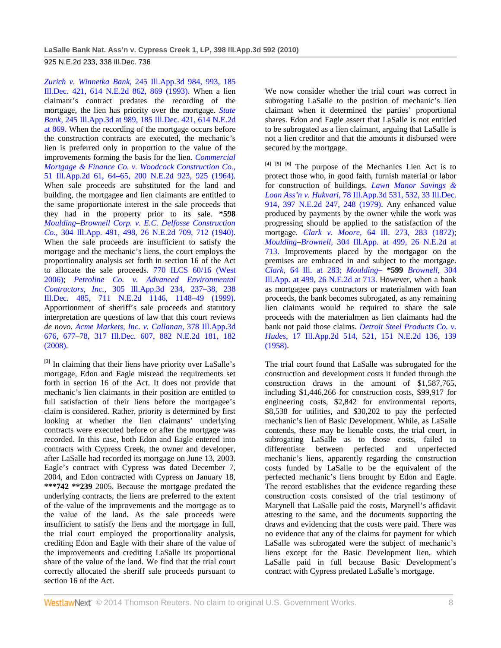*Zurich v. Winnetka Bank,* 245 Ill.App.3d 984, 993, 185 Ill.Dec. 421, 614 N.E.2d 862, 869 (1993). When a lien claimant's contract predates the recording of the mortgage, the lien has priority over the mortgage. *State Bank,* 245 Ill.App.3d at 989, 185 Ill.Dec. 421, 614 N.E.2d at 869. When the recording of the mortgage occurs before the construction contracts are executed, the mechanic's lien is preferred only in proportion to the value of the improvements forming the basis for the lien. *Commercial Mortgage & Finance Co. v. Woodcock Construction Co.,* 51 Ill.App.2d 61, 64–65, 200 N.E.2d 923, 925 (1964). When sale proceeds are substituted for the land and building, the mortgagee and lien claimants are entitled to the same proportionate interest in the sale proceeds that they had in the property prior to its sale. **\*598** *Moulding–Brownell Corp. v. E.C. Delfosse Construction Co.,* 304 Ill.App. 491, 498, 26 N.E.2d 709, 712 (1940). When the sale proceeds are insufficient to satisfy the mortgage and the mechanic's liens, the court employs the proportionality analysis set forth in section 16 of the Act to allocate the sale proceeds. 770 ILCS 60/16 (West 2006); *Petroline Co. v. Advanced Environmental Contractors, Inc.,* 305 Ill.App.3d 234, 237–38, 238 Ill.Dec. 485, 711 N.E.2d 1146, 1148–49 (1999). Apportionment of sheriff's sale proceeds and statutory interpretation are questions of law that this court reviews *de novo. Acme Markets, Inc. v. Callanan,* 378 Ill.App.3d 676, 677–78, 317 Ill.Dec. 607, 882 N.E.2d 181, 182 (2008).

**[3]** In claiming that their liens have priority over LaSalle's mortgage, Edon and Eagle misread the requirements set forth in section 16 of the Act. It does not provide that mechanic's lien claimants in their position are entitled to full satisfaction of their liens before the mortgagee's claim is considered. Rather, priority is determined by first looking at whether the lien claimants' underlying contracts were executed before or after the mortgage was recorded. In this case, both Edon and Eagle entered into contracts with Cypress Creek, the owner and developer, after LaSalle had recorded its mortgage on June 13, 2003. Eagle's contract with Cypress was dated December 7, 2004, and Edon contracted with Cypress on January 18, **\*\*\*742 \*\*239** 2005. Because the mortgage predated the underlying contracts, the liens are preferred to the extent of the value of the improvements and the mortgage as to the value of the land. As the sale proceeds were insufficient to satisfy the liens and the mortgage in full, the trial court employed the proportionality analysis, crediting Edon and Eagle with their share of the value of the improvements and crediting LaSalle its proportional share of the value of the land. We find that the trial court correctly allocated the sheriff sale proceeds pursuant to section 16 of the Act.

We now consider whether the trial court was correct in subrogating LaSalle to the position of mechanic's lien claimant when it determined the parties' proportional shares. Edon and Eagle assert that LaSalle is not entitled to be subrogated as a lien claimant, arguing that LaSalle is not a lien creditor and that the amounts it disbursed were secured by the mortgage.

**[4] [5] [6]** The purpose of the Mechanics Lien Act is to protect those who, in good faith, furnish material or labor for construction of buildings. *Lawn Manor Savings & Loan Ass'n v. Hukvari,* 78 Ill.App.3d 531, 532, 33 Ill.Dec. 914, 397 N.E.2d 247, 248 (1979). Any enhanced value produced by payments by the owner while the work was progressing should be applied to the satisfaction of the mortgage. *Clark v. Moore,* 64 Ill. 273, 283 (1872); *Moulding–Brownell,* 304 Ill.App. at 499, 26 N.E.2d at 713. Improvements placed by the mortgagor on the premises are embraced in and subject to the mortgage. *Clark,* 64 Ill. at 283; *Moulding–* **\*599** *Brownell,* 304 Ill.App. at 499, 26 N.E.2d at 713. However, when a bank as mortgagee pays contractors or materialmen with loan proceeds, the bank becomes subrogated, as any remaining lien claimants would be required to share the sale proceeds with the materialmen as lien claimants had the bank not paid those claims. *Detroit Steel Products Co. v. Hudes,* 17 Ill.App.2d 514, 521, 151 N.E.2d 136, 139 (1958).

The trial court found that LaSalle was subrogated for the construction and development costs it funded through the construction draws in the amount of \$1,587,765, including \$1,446,266 for construction costs, \$99,917 for engineering costs, \$2,842 for environmental reports, \$8,538 for utilities, and \$30,202 to pay the perfected mechanic's lien of Basic Development. While, as LaSalle contends, these may be lienable costs, the trial court, in subrogating LaSalle as to those costs, failed to differentiate between perfected and unperfected mechanic's liens, apparently regarding the construction costs funded by LaSalle to be the equivalent of the perfected mechanic's liens brought by Edon and Eagle. The record establishes that the evidence regarding these construction costs consisted of the trial testimony of Marynell that LaSalle paid the costs, Marynell's affidavit attesting to the same, and the documents supporting the draws and evidencing that the costs were paid. There was no evidence that any of the claims for payment for which LaSalle was subrogated were the subject of mechanic's liens except for the Basic Development lien, which LaSalle paid in full because Basic Development's contract with Cypress predated LaSalle's mortgage.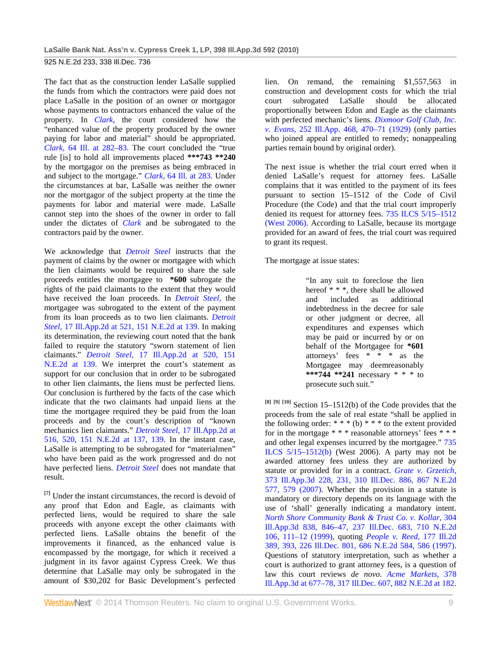The fact that as the construction lender LaSalle supplied the funds from which the contractors were paid does not place LaSalle in the position of an owner or mortgagor whose payments to contractors enhanced the value of the property. In *Clark,* the court considered how the "enhanced value of the property produced by the owner paying for labor and material" should be appropriated. *Clark,* 64 Ill. at 282–83. The court concluded the "true rule [is] to hold all improvements placed **\*\*\*743 \*\*240** by the mortgagor on the premises as being embraced in and subject to the mortgage." *Clark,* 64 Ill. at 283. Under the circumstances at bar, LaSalle was neither the owner nor the mortgagor of the subject property at the time the payments for labor and material were made. LaSalle cannot step into the shoes of the owner in order to fall under the dictates of *Clark* and be subrogated to the contractors paid by the owner.

We acknowledge that *Detroit Steel* instructs that the payment of claims by the owner or mortgagee with which the lien claimants would be required to share the sale proceeds entitles the mortgagee to **\*600** subrogate the rights of the paid claimants to the extent that they would have received the loan proceeds. In *Detroit Steel,* the mortgagee was subrogated to the extent of the payment from its loan proceeds as to two lien claimants. *Detroit Steel,* 17 Ill.App.2d at 521, 151 N.E.2d at 139. In making its determination, the reviewing court noted that the bank failed to require the statutory "sworn statement of lien claimants." *Detroit Steel,* 17 Ill.App.2d at 520, 151 N.E.2d at 139. We interpret the court's statement as support for our conclusion that in order to be subrogated to other lien claimants, the liens must be perfected liens. Our conclusion is furthered by the facts of the case which indicate that the two claimants had unpaid liens at the time the mortgagee required they be paid from the loan proceeds and by the court's description of "known mechanics lien claimants." *Detroit Steel,* 17 Ill.App.2d at 516, 520, 151 N.E.2d at 137, 139. In the instant case, LaSalle is attempting to be subrogated for "materialmen" who have been paid as the work progressed and do not have perfected liens. *Detroit Steel* does not mandate that result.

**[7]** Under the instant circumstances, the record is devoid of any proof that Edon and Eagle, as claimants with perfected liens, would be required to share the sale proceeds with anyone except the other claimants with perfected liens. LaSalle obtains the benefit of the improvements it financed, as the enhanced value is encompassed by the mortgage, for which it received a judgment in its favor against Cypress Creek. We thus determine that LaSalle may only be subrogated in the amount of \$30,202 for Basic Development's perfected

lien. On remand, the remaining \$1,557,563 in construction and development costs for which the trial court subrogated LaSalle should be allocated proportionally between Edon and Eagle as the claimants with perfected mechanic's liens. *Dixmoor Golf Club, Inc. v. Evans,* 252 Ill.App. 468, 470–71 (1929) (only parties who joined appeal are entitled to remedy; nonappealing parties remain bound by original order).

The next issue is whether the trial court erred when it denied LaSalle's request for attorney fees. LaSalle complains that it was entitled to the payment of its fees pursuant to section 15–1512 of the Code of Civil Procedure (the Code) and that the trial court improperly denied its request for attorney fees. 735 ILCS 5/15–1512 (West 2006). According to LaSalle, because its mortgage provided for an award of fees, the trial court was required to grant its request.

The mortgage at issue states:

"In any suit to foreclose the lien hereof \* \* \*, there shall be allowed and included as additional indebtedness in the decree for sale or other judgment or decree, all expenditures and expenses which may be paid or incurred by or on behalf of the Mortgagee for **\*601** attorneys' fees \* \* \* as the Mortgagee may deemreasonably **\*\*\*744 \*\*241** necessary \* \* \* to prosecute such suit."

**[8] [9] [10]** Section 15–1512(b) of the Code provides that the proceeds from the sale of real estate "shall be applied in the following order:  $**$  (b)  $**$  to the extent provided for in the mortgage \* \* \* reasonable attorneys' fees \* \* \* and other legal expenses incurred by the mortgagee." 735 ILCS 5/15–1512(b) (West 2006). A party may not be awarded attorney fees unless they are authorized by statute or provided for in a contract. *Grate v. Grzetich,* 373 Ill.App.3d 228, 231, 310 Ill.Dec. 886, 867 N.E.2d 577, 579 (2007). Whether the provision in a statute is mandatory or directory depends on its language with the use of 'shall' generally indicating a mandatory intent. *North Shore Community Bank & Trust Co. v. Kollar,* 304 Ill.App.3d 838, 846–47, 237 Ill.Dec. 683, 710 N.E.2d 106, 111–12 (1999), quoting *People v. Reed,* 177 Ill.2d 389, 393, 226 Ill.Dec. 801, 686 N.E.2d 584, 586 (1997). Questions of statutory interpretation, such as whether a court is authorized to grant attorney fees, is a question of law this court reviews *de novo. Acme Markets,* 378 Ill.App.3d at 677–78, 317 Ill.Dec. 607, 882 N.E.2d at 182.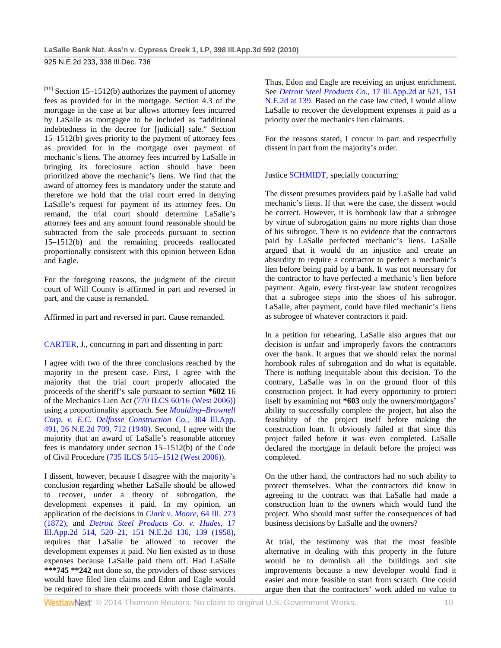**[11]** Section 15–1512(b) authorizes the payment of attorney fees as provided for in the mortgage. Section 4.3 of the mortgage in the case at bar allows attorney fees incurred by LaSalle as mortgagee to be included as "additional indebtedness in the decree for [judicial] sale." Section 15–1512(b) gives priority to the payment of attorney fees as provided for in the mortgage over payment of mechanic's liens. The attorney fees incurred by LaSalle in bringing its foreclosure action should have been prioritized above the mechanic's liens. We find that the award of attorney fees is mandatory under the statute and therefore we hold that the trial court erred in denying LaSalle's request for payment of its attorney fees. On remand, the trial court should determine LaSalle's attorney fees and any amount found reasonable should be subtracted from the sale proceeds pursuant to section 15–1512(b) and the remaining proceeds reallocated proportionally consistent with this opinion between Edon and Eagle.

For the foregoing reasons, the judgment of the circuit court of Will County is affirmed in part and reversed in part, and the cause is remanded.

Affirmed in part and reversed in part. Cause remanded.

CARTER, J., concurring in part and dissenting in part:

I agree with two of the three conclusions reached by the majority in the present case. First, I agree with the majority that the trial court properly allocated the proceeds of the sheriff's sale pursuant to section **\*602** 16 of the Mechanics Lien Act (770 ILCS 60/16 (West 2006)) using a proportionality approach. See *Moulding–Brownell Corp. v. E.C. Delfosse Construction Co.,* 304 Ill.App. 491, 26 N.E.2d 709, 712 (1940). Second, I agree with the majority that an award of LaSalle's reasonable attorney fees is mandatory under section 15–1512(b) of the Code of Civil Procedure (735 ILCS 5/15–1512 (West 2006)).

I dissent, however, because I disagree with the majority's conclusion regarding whether LaSalle should be allowed to recover, under a theory of subrogation, the development expenses it paid. In my opinion, an application of the decisions in *Clark v. Moore,* 64 Ill. 273 (1872), and *Detroit Steel Products Co. v. Hudes,* 17 Ill.App.2d 514, 520–21, 151 N.E.2d 136, 139 (1958), requires that LaSalle be allowed to recover the development expenses it paid. No lien existed as to those expenses because LaSalle paid them off. Had LaSalle **\*\*\*745 \*\*242** not done so, the providers of those services would have filed lien claims and Edon and Eagle would be required to share their proceeds with those claimants.

Thus, Edon and Eagle are receiving an unjust enrichment. See *Detroit Steel Products Co.,* 17 Ill.App.2d at 521, 151 N.E.2d at 139. Based on the case law cited, I would allow LaSalle to recover the development expenses it paid as a priority over the mechanics lien claimants.

For the reasons stated, I concur in part and respectfully dissent in part from the majority's order.

Justice SCHMIDT, specially concurring:

The dissent presumes providers paid by LaSalle had valid mechanic's liens. If that were the case, the dissent would be correct. However, it is hornbook law that a subrogee by virtue of subrogation gains no more rights than those of his subrogor. There is no evidence that the contractors paid by LaSalle perfected mechanic's liens. LaSalle argued that it would do an injustice and create an absurdity to require a contractor to perfect a mechanic's lien before being paid by a bank. It was not necessary for the contractor to have perfected a mechanic's lien before payment. Again, every first-year law student recognizes that a subrogee steps into the shoes of his subrogor. LaSalle, after payment, could have filed mechanic's liens as subrogee of whatever contractors it paid.

In a petition for rehearing, LaSalle also argues that our decision is unfair and improperly favors the contractors over the bank. It argues that we should relax the normal hornbook rules of subrogation and do what is equitable. There is nothing inequitable about this decision. To the contrary, LaSalle was in on the ground floor of this construction project. It had every opportunity to protect itself by examining not **\*603** only the owners/mortgagors' ability to successfully complete the project, but also the feasibility of the project itself before making the construction loan. It obviously failed at that since this project failed before it was even completed. LaSalle declared the mortgage in default before the project was completed.

On the other hand, the contractors had no such ability to protect themselves. What the contractors did know in agreeing to the contract was that LaSalle had made a construction loan to the owners which would fund the project. Who should most suffer the consequences of bad business decisions by LaSalle and the owners?

At trial, the testimony was that the most feasible alternative in dealing with this property in the future would be to demolish all the buildings and site improvements because a new developer would find it easier and more feasible to start from scratch. One could argue then that the contractors' work added no value to